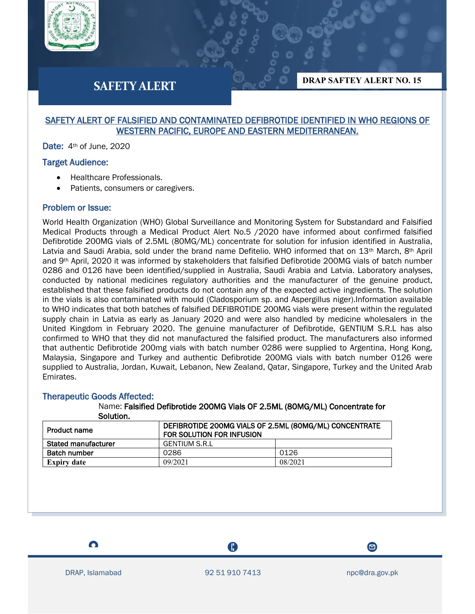

# **SAFETY ALERT**

**DRAP SAFTEY ALERT NO. 15**

### SAFETY ALERT OF FALSIFIED AND CONTAMINATED DEFIBROTIDE IDENTIFIED IN WHO REGIONS OF WESTERN PACIFIC, EUROPE AND EASTERN MEDITERRANEAN.

Date: 4<sup>th</sup> of June, 2020

#### Target Audience:

- Healthcare Professionals.
- Patients, consumers or caregivers.

### Problem or Issue:

World Health Organization (WHO) Global Surveillance and Monitoring System for Substandard and Falsified Medical Products through a Medical Product Alert No.5 /2020 have informed about confirmed falsified Defibrotide 200MG vials of 2.5ML (80MG/ML) concentrate for solution for infusion identified in Australia, Latvia and Saudi Arabia, sold under the brand name Defitelio. WHO informed that on 13<sup>th</sup> March, 8<sup>th</sup> April and 9th April, 2020 it was informed by stakeholders that falsified Defibrotide 200MG vials of batch number 0286 and 0126 have been identified/supplied in Australia, Saudi Arabia and Latvia. Laboratory analyses, conducted by national medicines regulatory authorities and the manufacturer of the genuine product, established that these falsified products do not contain any of the expected active ingredients. The solution in the vials is also contaminated with mould (Cladosporium sp. and Aspergillus niger).Information available to WHO indicates that both batches of falsified DEFIBROTIDE 200MG vials were present within the regulated supply chain in Latvia as early as January 2020 and were also handled by medicine wholesalers in the United Kingdom in February 2020. The genuine manufacturer of Defibrotide, GENTIUM S.R.L has also confirmed to WHO that they did not manufactured the falsified product. The manufacturers also informed that authentic Defibrotide 200mg vials with batch number 0286 were supplied to Argentina, Hong Kong, Malaysia, Singapore and Turkey and authentic Defibrotide 200MG vials with batch number 0126 were supplied to Australia, Jordan, Kuwait, Lebanon, New Zealand, Qatar, Singapore, Turkey and the United Arab Emirates.

## Therapeutic Goods Affected:

Name: Falsified Defibrotide 200MG Vials OF 2.5ML (80MG/ML) Concentrate for Solution.

| <b>Product name</b>        | DEFIBROTIDE 200MG VIALS OF 2.5ML (80MG/ML) CONCENTRATE<br>FOR SOLUTION FOR INFUSION |         |
|----------------------------|-------------------------------------------------------------------------------------|---------|
| <b>Stated manufacturer</b> | <b>GENTIUM S.R.L</b>                                                                |         |
| <b>Batch number</b>        | 0286                                                                                | 0126    |
| <b>Expiry date</b>         | 09/2021                                                                             | 08/2021 |

 $\bullet$ 

A





 $\boldsymbol{\Xi}$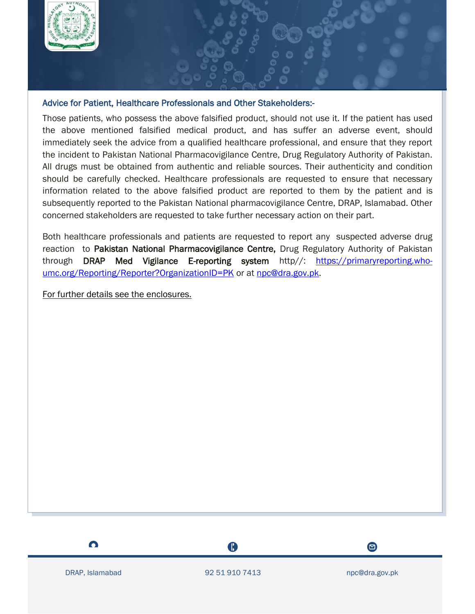

## Advice for Patient, Healthcare Professionals and Other Stakeholders:-

Those patients, who possess the above falsified product, should not use it. If the patient has used the above mentioned falsified medical product, and has suffer an adverse event, should immediately seek the advice from a qualified healthcare professional, and ensure that they report the incident to Pakistan National Pharmacovigilance Centre, Drug Regulatory Authority of Pakistan. All drugs must be obtained from authentic and reliable sources. Their authenticity and condition should be carefully checked. Healthcare professionals are requested to ensure that necessary information related to the above falsified product are reported to them by the patient and is subsequently reported to the Pakistan National pharmacovigilance Centre, DRAP, Islamabad. Other concerned stakeholders are requested to take further necessary action on their part.

Both healthcare professionals and patients are requested to report any suspected adverse drug reaction to Pakistan National Pharmacovigilance Centre, Drug Regulatory Authority of Pakistan through DRAP Med Vigilance E-reporting system http//: [https://primaryreporting.who](https://primaryreporting.who-umc.org/Reporting/Reporter?OrganizationID=PK)[umc.org/Reporting/Reporter?OrganizationID=PK](https://primaryreporting.who-umc.org/Reporting/Reporter?OrganizationID=PK) or at [npc@dra.gov.pk.](mailto:npc@dra.gov.pk)

For further details see the enclosures.

 $\bullet$ 

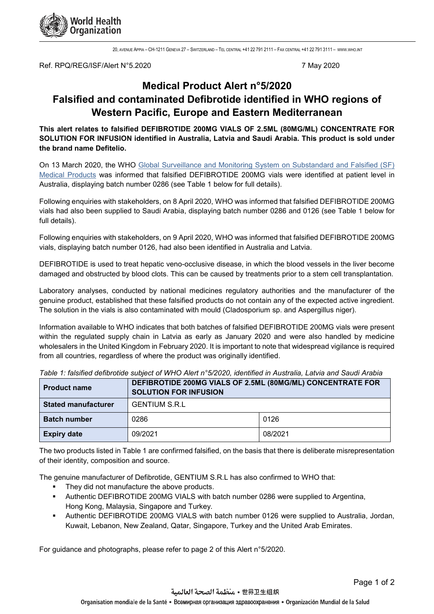

20, AVENUE APPIA – CH-1211 GENEVA 27 – SWITZERLAND – TEL CENTRAL +41 22 791 2111 – FAX CENTRAL +41 22 791 3111 – [WWW](http://www.who.int/).WHO.INT

Ref. RPQ/REG/ISF/Alert N°5.2020 7 May 2020

# **Medical Product Alert n°5/2020 Falsified and contaminated Defibrotide identified in WHO regions of Western Pacific, Europe and Eastern Mediterranean**

**This alert relates to falsified DEFIBROTIDE 200MG VIALS OF 2.5ML (80MG/ML) CONCENTRATE FOR SOLUTION FOR INFUSION identified in Australia, Latvia and Saudi Arabia. This product is sold under the brand name Defitelio.**

On 13 March 2020, the WHO [Global Surveillance and Monitoring System on Substandard and Falsified \(SF\)](https://www.who.int/medicines/regulation/ssffc/en/)  [Medical Products](https://www.who.int/medicines/regulation/ssffc/en/) was informed that falsified DEFIBROTIDE 200MG vials were identified at patient level in Australia, displaying batch number 0286 (see Table 1 below for full details).

Following enquiries with stakeholders, on 8 April 2020, WHO was informed that falsified DEFIBROTIDE 200MG vials had also been supplied to Saudi Arabia, displaying batch number 0286 and 0126 (see Table 1 below for full details).

Following enquiries with stakeholders, on 9 April 2020, WHO was informed that falsified DEFIBROTIDE 200MG vials, displaying batch number 0126, had also been identified in Australia and Latvia.

DEFIBROTIDE is used to treat hepatic veno-occlusive disease, in which the blood vessels in the liver become damaged and obstructed by blood clots. This can be caused by treatments prior to a stem cell transplantation.

Laboratory analyses, conducted by national medicines regulatory authorities and the manufacturer of the genuine product, established that these falsified products do not contain any of the expected active ingredient. The solution in the vials is also contaminated with mould (Cladosporium sp. and Aspergillus niger).

Information available to WHO indicates that both batches of falsified DEFIBROTIDE 200MG vials were present within the regulated supply chain in Latvia as early as January 2020 and were also handled by medicine wholesalers in the United Kingdom in February 2020. It is important to note that widespread vigilance is required from all countries, regardless of where the product was originally identified.

| <b>Product name</b>        | DEFIBROTIDE 200MG VIALS OF 2.5ML (80MG/ML) CONCENTRATE FOR<br><b>SOLUTION FOR INFUSION</b> |         |  |
|----------------------------|--------------------------------------------------------------------------------------------|---------|--|
| <b>Stated manufacturer</b> | <b>GENTIUM S.R.L</b>                                                                       |         |  |
| <b>Batch number</b>        | 0286                                                                                       | 0126    |  |
| <b>Expiry date</b>         | 09/2021                                                                                    | 08/2021 |  |

*Table 1: falsified defibrotide subject of WHO Alert n°5/2020, identified in Australia, Latvia and Saudi Arabia*

The two products listed in Table 1 are confirmed falsified, on the basis that there is deliberate misrepresentation of their identity, composition and source.

The genuine manufacturer of Defibrotide, GENTIUM S.R.L has also confirmed to WHO that:

- They did not manufacture the above products.
- Authentic DEFIBROTIDE 200MG VIALS with batch number 0286 were supplied to Argentina, Hong Kong, Malaysia, Singapore and Turkey.
- Authentic DEFIBROTIDE 200MG VIALS with batch number 0126 were supplied to Australia, Jordan, Kuwait, Lebanon, New Zealand, Qatar, Singapore, Turkey and the United Arab Emirates.

For guidance and photographs, please refer to page 2 of this Alert n°5/2020.